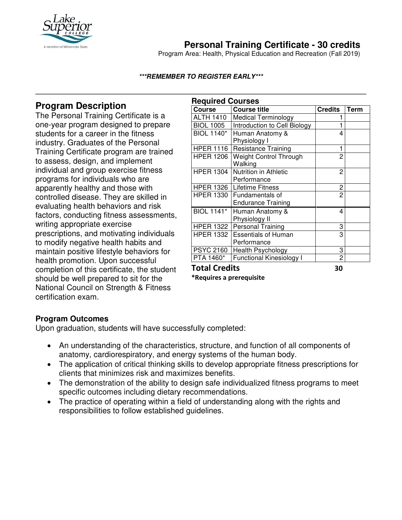

# **Personal Training Certificate - 30 credits**

Program Area: Health, Physical Education and Recreation (Fall 2019)

### **\*\*\*REMEMBER TO REGISTER EARLY\*\*\***

### **Program Description**

The Personal Training Certificate is a one-year program designed to prepare students for a career in the fitness industry. Graduates of the Personal Training Certificate program are trained to assess, design, and implement individual and group exercise fitness programs for individuals who are apparently healthy and those with controlled disease. They are skilled in evaluating health behaviors and risk factors, conducting fitness assessments, writing appropriate exercise prescriptions, and motivating individuals to modify negative health habits and maintain positive lifestyle behaviors for health promotion. Upon successful completion of this certificate, the student should be well prepared to sit for the National Council on Strength & Fitness certification exam.

| <b>Required Courses</b> |                                 |                |             |
|-------------------------|---------------------------------|----------------|-------------|
| <b>Course</b>           | <b>Course title</b>             | <b>Credits</b> | <b>Term</b> |
| <b>ALTH 1410</b>        | <b>Medical Terminology</b>      |                |             |
| <b>BIOL 1005</b>        | Introduction to Cell Biology    | 1              |             |
| <b>BIOL 1140*</b>       | Human Anatomy &                 | 4              |             |
|                         | Physiology I                    |                |             |
| <b>HPER 1116</b>        | <b>Resistance Training</b>      | 1              |             |
| <b>HPER 1206</b>        | <b>Weight Control Through</b>   | 2              |             |
|                         | Walking                         |                |             |
| <b>HPER 1304</b>        | Nutrition in Athletic           | 2              |             |
|                         | Performance                     |                |             |
|                         | HPER 1326   Lifetime Fitness    | 2              |             |
| <b>HPER 1330</b>        | Fundamentals of                 | 2              |             |
|                         | <b>Endurance Training</b>       |                |             |
| <b>BIOL 1141*</b>       | Human Anatomy &                 | 4              |             |
|                         | Physiology II                   |                |             |
| HPER 1322               | <b>Personal Training</b>        | 3              |             |
| <b>HPER 1332</b>        | <b>Essentials of Human</b>      | 3              |             |
|                         | Performance                     |                |             |
| <b>PSYC 2160</b>        | Health Psychology               | 3              |             |
| <b>PTA 1460*</b>        | <b>Functional Kinesiology I</b> | 2              |             |
| Tatal Cuadita           | ָ                               |                |             |

**Total Credits 30** 

**\*Requires a prerequisite** 

### **Program Outcomes**

Upon graduation, students will have successfully completed:

- An understanding of the characteristics, structure, and function of all components of anatomy, cardiorespiratory, and energy systems of the human body.
- The application of critical thinking skills to develop appropriate fitness prescriptions for clients that minimizes risk and maximizes benefits.
- The demonstration of the ability to design safe individualized fitness programs to meet specific outcomes including dietary recommendations.
- The practice of operating within a field of understanding along with the rights and responsibilities to follow established guidelines.